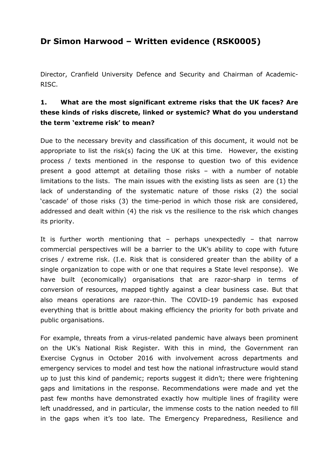# **Dr Simon Harwood – Written evidence (RSK0005)**

Director, Cranfield University Defence and Security and Chairman of Academic-RISC.

#### **1. What are the most significant extreme risks that the UK faces? Are these kinds of risks discrete, linked or systemic? What do you understand the term 'extreme risk' to mean?**

Due to the necessary brevity and classification of this document, it would not be appropriate to list the risk(s) facing the UK at this time. However, the existing process / texts mentioned in the response to question two of this evidence present a good attempt at detailing those risks – with a number of notable limitations to the lists. The main issues with the existing lists as seen are (1) the lack of understanding of the systematic nature of those risks (2) the social 'cascade' of those risks (3) the time-period in which those risk are considered, addressed and dealt within (4) the risk vs the resilience to the risk which changes its priority.

It is further worth mentioning that  $-$  perhaps unexpectedly  $-$  that narrow commercial perspectives will be a barrier to the UK's ability to cope with future crises / extreme risk. (I.e. Risk that is considered greater than the ability of a single organization to cope with or one that requires a State level response). We have built (economically) organisations that are razor-sharp in terms of conversion of resources, mapped tightly against a clear business case. But that also means operations are razor-thin. The COVID-19 pandemic has exposed everything that is brittle about making efficiency the priority for both private and public organisations.

For example, threats from a virus-related pandemic have always been prominent on the UK's National Risk Register. With this in mind, the Government ran Exercise Cygnus in October 2016 with involvement across departments and emergency services to model and test how the national infrastructure would stand up to just this kind of pandemic; reports suggest it didn't; there were frightening gaps and limitations in the response. Recommendations were made and yet the past few months have demonstrated exactly how multiple lines of fragility were left unaddressed, and in particular, the immense costs to the nation needed to fill in the gaps when it's too late. The Emergency Preparedness, Resilience and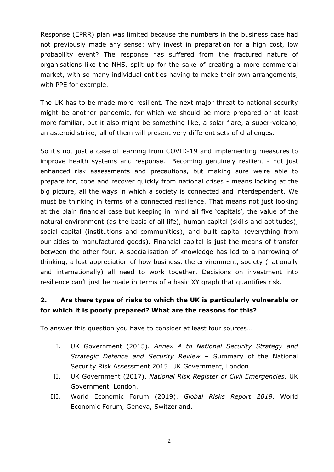Response (EPRR) plan was limited because the numbers in the business case had not previously made any sense: why invest in preparation for a high cost, low probability event? The response has suffered from the fractured nature of organisations like the NHS, split up for the sake of creating a more commercial market, with so many individual entities having to make their own arrangements, with PPE for example.

The UK has to be made more resilient. The next major threat to national security might be another pandemic, for which we should be more prepared or at least more familiar, but it also might be something like, a solar flare, a super-volcano, an asteroid strike; all of them will present very different sets of challenges.

So it's not just a case of learning from COVID-19 and implementing measures to improve health systems and response. Becoming genuinely resilient - not just enhanced risk assessments and precautions, but making sure we're able to prepare for, cope and recover quickly from national crises - means looking at the big picture, all the ways in which a society is connected and interdependent. We must be thinking in terms of a connected resilience. That means not just looking at the plain financial case but keeping in mind all five 'capitals', the value of the natural environment (as the basis of all life), human capital (skills and aptitudes), social capital (institutions and communities), and built capital (everything from our cities to manufactured goods). Financial capital is just the means of transfer between the other four. A specialisation of knowledge has led to a narrowing of thinking, a lost appreciation of how business, the environment, society (nationally and internationally) all need to work together. Decisions on investment into resilience can't just be made in terms of a basic XY graph that quantifies risk.

#### **2. Are there types of risks to which the UK is particularly vulnerable or for which it is poorly prepared? What are the reasons for this?**

To answer this question you have to consider at least four sources…

- I. UK Government (2015). *Annex A to National Security Strategy and Strategic Defence and Security Review* – [Summary](https://www.gov.uk/government/uploads/system/uploads/attachment_data/file/478936/52309_Cm_9161_NSS_SD_Review_PRINT_only.pdf) [of](https://www.gov.uk/government/uploads/system/uploads/attachment_data/file/478936/52309_Cm_9161_NSS_SD_Review_PRINT_only.pdf) [the](https://www.gov.uk/government/uploads/system/uploads/attachment_data/file/478936/52309_Cm_9161_NSS_SD_Review_PRINT_only.pdf) [National](https://www.gov.uk/government/uploads/system/uploads/attachment_data/file/478936/52309_Cm_9161_NSS_SD_Review_PRINT_only.pdf) [Security](https://www.gov.uk/government/uploads/system/uploads/attachment_data/file/478936/52309_Cm_9161_NSS_SD_Review_PRINT_only.pdf) [Risk](https://www.gov.uk/government/uploads/system/uploads/attachment_data/file/478936/52309_Cm_9161_NSS_SD_Review_PRINT_only.pdf) [Assessment](https://www.gov.uk/government/uploads/system/uploads/attachment_data/file/478936/52309_Cm_9161_NSS_SD_Review_PRINT_only.pdf) [2015](https://www.gov.uk/government/uploads/system/uploads/attachment_data/file/478936/52309_Cm_9161_NSS_SD_Review_PRINT_only.pdf)*.* UK Government, London.
- II. UK Government (2017). *[National](https://www.gov.uk/government/publications/national-risk-register-of-civil-emergencies-2017-edition) [Risk](https://www.gov.uk/government/publications/national-risk-register-of-civil-emergencies-2017-edition) [Register](https://www.gov.uk/government/publications/national-risk-register-of-civil-emergencies-2017-edition) [of](https://www.gov.uk/government/publications/national-risk-register-of-civil-emergencies-2017-edition) [Civil](https://www.gov.uk/government/publications/national-risk-register-of-civil-emergencies-2017-edition) [Emergencies](https://www.gov.uk/government/publications/national-risk-register-of-civil-emergencies-2017-edition).* UK Government, London.
- III. World Economic Forum (2019). *[Global](http://www3.weforum.org/docs/WEF_Global_Risks_Report_2019.pdf) [Risks](http://www3.weforum.org/docs/WEF_Global_Risks_Report_2019.pdf) [Report](http://www3.weforum.org/docs/WEF_Global_Risks_Report_2019.pdf) [2019](http://www3.weforum.org/docs/WEF_Global_Risks_Report_2019.pdf)*. World Economic Forum, Geneva, Switzerland.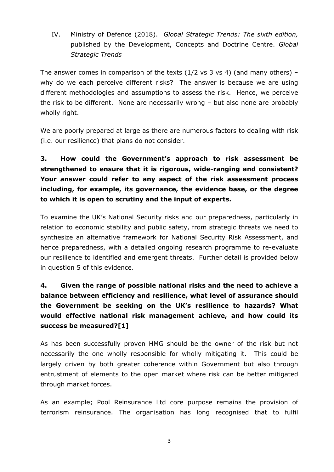IV. Ministry of Defence (2018). *Global Strategic Trends: The sixth edition,* published by the Development, Concepts and Doctrine Centre. *[Global](https://assets.publishing.service.gov.uk/government/uploads/system/uploads/attachment_data/file/771309/Global_Strategic_Trends_-_The_Future_Starts_Today.pdf) [Strategic](https://assets.publishing.service.gov.uk/government/uploads/system/uploads/attachment_data/file/771309/Global_Strategic_Trends_-_The_Future_Starts_Today.pdf) [Trends](https://assets.publishing.service.gov.uk/government/uploads/system/uploads/attachment_data/file/771309/Global_Strategic_Trends_-_The_Future_Starts_Today.pdf)* 

The answer comes in comparison of the texts  $(1/2 \text{ vs } 3 \text{ vs } 4)$  (and many others) – why do we each perceive different risks? The answer is because we are using different methodologies and assumptions to assess the risk. Hence, we perceive the risk to be different. None are necessarily wrong – but also none are probably wholly right.

We are poorly prepared at large as there are numerous factors to dealing with risk (i.e. our resilience) that plans do not consider.

# **3. How could the Government's approach to risk assessment be strengthened to ensure that it is rigorous, wide-ranging and consistent? Your answer could refer to any aspect of the risk assessment process including, for example, its governance, the evidence base, or the degree to which it is open to scrutiny and the input of experts.**

To examine the UK's National Security risks and our preparedness, particularly in relation to economic stability and public safety, from strategic threats we need to synthesize an alternative framework for National Security Risk Assessment, and hence preparedness, with a detailed ongoing research programme to re-evaluate our resilience to identified and emergent threats. Further detail is provided below in question 5 of this evidence.

# **4. Given the range of possible national risks and the need to achieve a balance between efficiency and resilience, what level of assurance should the Government be seeking on the UK's resilience to hazards? What would effective national risk management achieve, and how could its success be measured?[1]**

As has been successfully proven HMG should be the owner of the risk but not necessarily the one wholly responsible for wholly mitigating it. This could be largely driven by both greater coherence within Government but also through entrustment of elements to the open market where risk can be better mitigated through market forces.

As an example; Pool Reinsurance Ltd core purpose remains the provision of terrorism reinsurance. The organisation has long recognised that to fulfil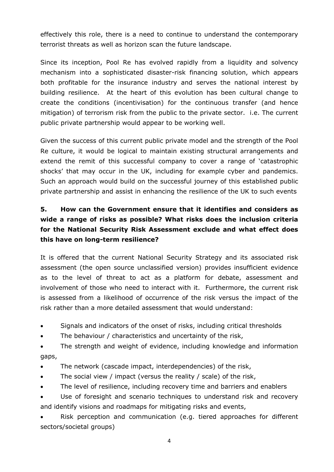effectively this role, there is a need to continue to understand the contemporary terrorist threats as well as horizon scan the future landscape.

Since its inception, Pool Re has evolved rapidly from a liquidity and solvency mechanism into a sophisticated disaster-risk financing solution, which appears both profitable for the insurance industry and serves the national interest by building resilience. At the heart of this evolution has been cultural change to create the conditions (incentivisation) for the continuous transfer (and hence mitigation) of terrorism risk from the public to the private sector. i.e. The current public private partnership would appear to be working well.

Given the success of this current public private model and the strength of the Pool Re culture, it would be logical to maintain existing structural arrangements and extend the remit of this successful company to cover a range of 'catastrophic shocks' that may occur in the UK, including for example cyber and pandemics. Such an approach would build on the successful journey of this established public private partnership and assist in enhancing the resilience of the UK to such events

### **5. How can the Government ensure that it identifies and considers as wide a range of risks as possible? What risks does the inclusion criteria for the National Security Risk Assessment exclude and what effect does this have on long-term resilience?**

It is offered that the current National Security Strategy and its associated risk assessment (the open source unclassified version) provides insufficient evidence as to the level of threat to act as a platform for debate, assessment and involvement of those who need to interact with it. Furthermore, the current risk is assessed from a likelihood of occurrence of the risk versus the impact of the risk rather than a more detailed assessment that would understand:

- Signals and indicators of the onset of risks, including critical thresholds
- The behaviour / characteristics and uncertainty of the risk,
- The strength and weight of evidence, including knowledge and information gaps,
- The network (cascade impact, interdependencies) of the risk,
- The social view / impact (versus the reality / scale) of the risk,
- The level of resilience, including recovery time and barriers and enablers
- Use of foresight and scenario techniques to understand risk and recovery and identify visions and roadmaps for mitigating risks and events,

 Risk perception and communication (e.g. tiered approaches for different sectors/societal groups)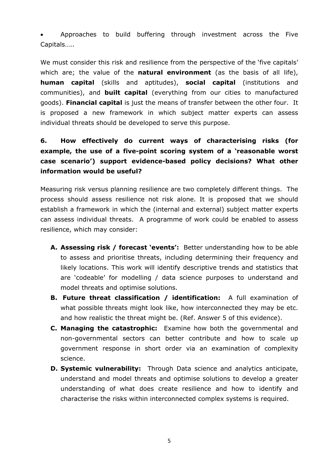Approaches to build buffering through investment across the Five Capitals…..

We must consider this risk and resilience from the perspective of the 'five capitals' which are; the value of the **natural environment** (as the basis of all life), **human capital** (skills and aptitudes), **social capital** (institutions and communities), and **built capital** (everything from our cities to manufactured goods). **Financial capital** is just the means of transfer between the other four. It is proposed a new framework in which subject matter experts can assess individual threats should be developed to serve this purpose.

### **6. How effectively do current ways of characterising risks (for example, the use of a five-point scoring system of a 'reasonable worst case scenario') support evidence-based policy decisions? What other information would be useful?**

Measuring risk versus planning resilience are two completely different things. The process should assess resilience not risk alone. It is proposed that we should establish a framework in which the (internal and external) subject matter experts can assess individual threats. A programme of work could be enabled to assess resilience, which may consider:

- **A. Assessing risk / forecast 'events':** Better understanding how to be able to assess and prioritise threats, including determining their frequency and likely locations. This work will identify descriptive trends and statistics that are 'codeable' for modelling / data science purposes to understand and model threats and optimise solutions.
- **B. Future threat classification / identification:** A full examination of what possible threats might look like, how interconnected they may be etc. and how realistic the threat might be. (Ref. Answer 5 of this evidence).
- **C. Managing the catastrophic:** Examine how both the governmental and non-governmental sectors can better contribute and how to scale up government response in short order via an examination of complexity science.
- **D. Systemic vulnerability:** Through Data science and analytics anticipate, understand and model threats and optimise solutions to develop a greater understanding of what does create resilience and how to identify and characterise the risks within interconnected complex systems is required.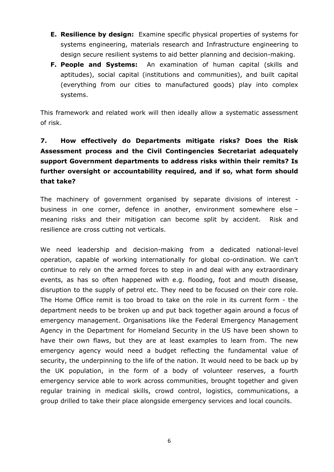- **E. Resilience by design:** Examine specific physical properties of systems for systems engineering, materials research and Infrastructure engineering to design secure resilient systems to aid better planning and decision-making.
- **F. People and Systems:** An examination of human capital (skills and aptitudes), social capital (institutions and communities), and built capital (everything from our cities to manufactured goods) play into complex systems.

This framework and related work will then ideally allow a systematic assessment of risk.

# **7. How effectively do Departments mitigate risks? Does the Risk Assessment process and the Civil Contingencies Secretariat adequately support Government departments to address risks within their remits? Is further oversight or accountability required, and if so, what form should that take?**

The machinery of government organised by separate divisions of interest business in one corner, defence in another, environment somewhere else – meaning risks and their mitigation can become split by accident. Risk and resilience are cross cutting not verticals.

We need leadership and decision-making from a dedicated national-level operation, capable of working internationally for global co-ordination. We can't continue to rely on the armed forces to step in and deal with any extraordinary events, as has so often happened with e.g. flooding, foot and mouth disease, disruption to the supply of petrol etc. They need to be focused on their core role. The Home Office remit is too broad to take on the role in its current form - the department needs to be broken up and put back together again around a focus of emergency management. Organisations like the Federal Emergency Management Agency in the Department for Homeland Security in the US have been shown to have their own flaws, but they are at least examples to learn from. The new emergency agency would need a budget reflecting the fundamental value of security, the underpinning to the life of the nation. It would need to be back up by the UK population, in the form of a body of volunteer reserves, a fourth emergency service able to work across communities, brought together and given regular training in medical skills, crowd control, logistics, communications, a group drilled to take their place alongside emergency services and local councils.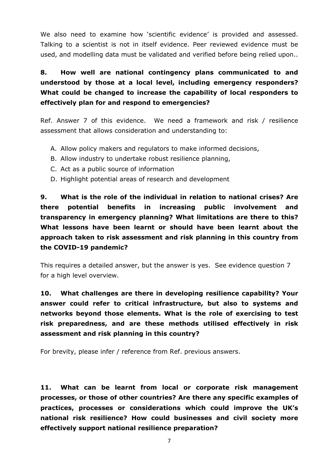We also need to examine how 'scientific evidence' is provided and assessed. Talking to a scientist is not in itself evidence. Peer reviewed evidence must be used, and modelling data must be validated and verified before being relied upon..

### **8. How well are national contingency plans communicated to and understood by those at a local level, including emergency responders? What could be changed to increase the capability of local responders to effectively plan for and respond to emergencies?**

Ref. Answer 7 of this evidence. We need a framework and risk / resilience assessment that allows consideration and understanding to:

- A. Allow policy makers and regulators to make informed decisions,
- B. Allow industry to undertake robust resilience planning,
- C. Act as a public source of information
- D. Highlight potential areas of research and development

**9. What is the role of the individual in relation to national crises? Are there potential benefits in increasing public involvement and transparency in emergency planning? What limitations are there to this? What lessons have been learnt or should have been learnt about the approach taken to risk assessment and risk planning in this country from the COVID-19 pandemic?**

This requires a detailed answer, but the answer is yes. See evidence question 7 for a high level overview.

**10. What challenges are there in developing resilience capability? Your answer could refer to critical infrastructure, but also to systems and networks beyond those elements. What is the role of exercising to test risk preparedness, and are these methods utilised effectively in risk assessment and risk planning in this country?**

For brevity, please infer / reference from Ref. previous answers.

**11. What can be learnt from local or corporate risk management processes, or those of other countries? Are there any specific examples of practices, processes or considerations which could improve the UK's national risk resilience? How could businesses and civil society more effectively support national resilience preparation?**